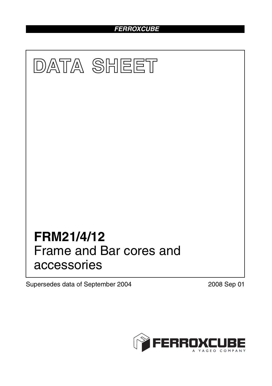# *FERROXCUBE*



Supersedes data of September 2004 2008 Sep 01

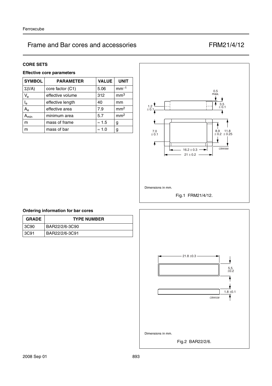#### **CORE SETS**

## **Effective core parameters**

| <b>SYMBOL</b>           | <b>PARAMETER</b> | <b>VALUE</b>  | <b>UNIT</b>     |
|-------------------------|------------------|---------------|-----------------|
| $\Sigma(I/A)$           | core factor (C1) | 5.06          | $mm-1$          |
| $V_{\rm e}$             | effective volume | 312           | mm <sup>3</sup> |
| $\mathsf{I}_\mathsf{e}$ | effective length | 40            | mm              |
| $A_{\rm e}$             | effective area   | 7.9           | mm <sup>2</sup> |
| $A_{min}$               | minimum area     | 5.7           | mm <sup>2</sup> |
| m                       | mass of frame    | $\approx 1.5$ | g               |
| m                       | mass of bar      | $\approx 1.0$ | g               |



### **Ordering information for bar cores**

| <b>GRADE</b> | <b>TYPE NUMBER</b> |  |
|--------------|--------------------|--|
| 3C90         | BAR22/2/6-3C90     |  |
| 3C91         | BAR22/2/6-3C91     |  |

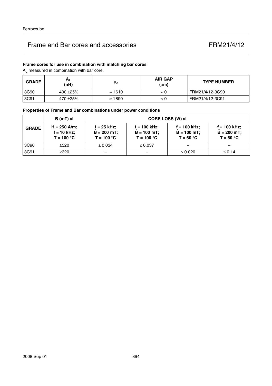## **Frame cores for use in combination with matching bar cores**

AL measured in combination with bar core.

| <b>GRADE</b> | $A_L$<br>(nH) | μe             | <b>AIR GAP</b><br>$(\mu m)$ | <b>TYPE NUMBER</b> |
|--------------|---------------|----------------|-----------------------------|--------------------|
| 3C90         | 400 $\pm$ 25% | $\approx$ 1610 | $\approx 0$                 | FRM21/4/12-3C90    |
| 3C91         | 470 ±25%      | $\approx$ 1890 | $\approx 0$                 | FRM21/4/12-3C91    |

## **Properties of Frame and Bar combinations under power conditions**

|              | $B(mT)$ at                                    | CORE LOSS (W) at                             |                                                 |                                               |                                                 |  |
|--------------|-----------------------------------------------|----------------------------------------------|-------------------------------------------------|-----------------------------------------------|-------------------------------------------------|--|
| <b>GRADE</b> | $H = 250$ A/m;<br>f = 10 kHz;<br>$T = 100 °C$ | f = 25 kHz;<br>$B = 200$ mT;<br>$T = 100 °C$ | $f = 100$ kHz;<br>$B = 100$ mT;<br>$T = 100 °C$ | f = 100 kHz;<br>$B = 100 mT$ ;<br>$T = 60 °C$ | $f = 100$ kHz;<br>$B = 200 mT$ ;<br>$T = 60 °C$ |  |
| 3C90         | $\geq$ 320                                    | $\leq 0.034$                                 | $\leq 0.037$                                    | —                                             |                                                 |  |
| 3C91         | $\geq$ 320                                    |                                              |                                                 | $\leq 0.020$                                  | $\leq 0.14$                                     |  |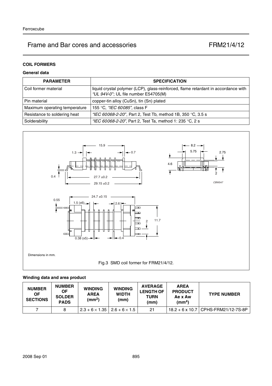## **COIL FORMERS**

## **General data**

| <b>PARAMETER</b>              | <b>SPECIFICATION</b>                                                                                                       |  |  |
|-------------------------------|----------------------------------------------------------------------------------------------------------------------------|--|--|
| Coil former material          | liquid crystal polymer (LCP), glass-reinforced, flame retardant in accordance with<br>"UL 94V-0"; UL file number E54705(M) |  |  |
| Pin material                  | copper-tin alloy (CuSn), tin (Sn) plated                                                                                   |  |  |
| Maximum operating temperature | 155 °C. "IEC 60085", class F                                                                                               |  |  |
| Resistance to soldering heat  | "IEC 60068-2-20", Part 2, Test Tb, method 1B, 350 °C, 3.5 s                                                                |  |  |
| Solderability                 | "IEC 60068-2-20", Part 2, Test Ta, method 1: 235 °C, 2 s                                                                   |  |  |



## **Winding data and area product**

| <b>NUMBER</b><br>ΟF<br><b>SECTIONS</b> | <b>NUMBER</b><br><b>OF</b><br><b>SOLDER</b><br><b>PADS</b> | <b>WINDING</b><br><b>AREA</b><br>(mm <sup>2</sup> ) | <b>WINDING</b><br><b>WIDTH</b><br>(mm) | <b>AVERAGE</b><br><b>LENGTH OF</b><br>TURN<br>(mm) | <b>AREA</b><br><b>PRODUCT</b><br>Ae x Aw<br>$\text{(mm}^4)$ | <b>TYPE NUMBER</b>                    |
|----------------------------------------|------------------------------------------------------------|-----------------------------------------------------|----------------------------------------|----------------------------------------------------|-------------------------------------------------------------|---------------------------------------|
|                                        |                                                            | $2.3 + 6 \times 1.35$   2.6 + 6 $\times$ 1.5        |                                        | 21                                                 |                                                             | 18.2 + 6 x 10.7   CPHS-FRM21/12-7S-8P |